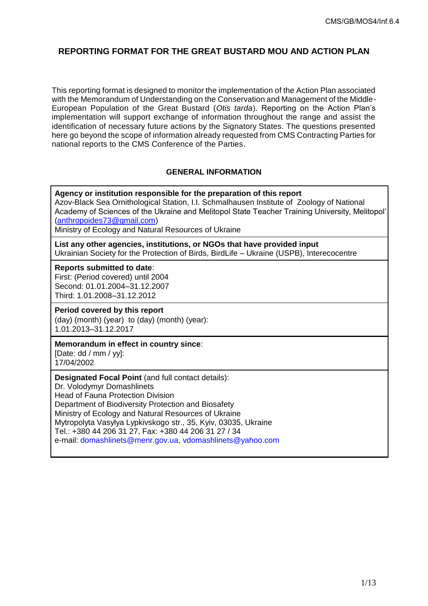# **REPORTING FORMAT FOR THE GREAT BUSTARD MOU AND ACTION PLAN**

This reporting format is designed to monitor the implementation of the Action Plan associated with the Memorandum of Understanding on the Conservation and Management of the Middle-European Population of the Great Bustard (*Otis tarda*). Reporting on the Action Plan's implementation will support exchange of information throughout the range and assist the identification of necessary future actions by the Signatory States. The questions presented here go beyond the scope of information already requested from CMS Contracting Parties for national reports to the CMS Conference of the Parties.

## **GENERAL INFORMATION**

**Agency or institution responsible for the preparation of this report** Azov-Black Sea Ornithological Station, I.I. Schmalhausen Institute of Zoology of National Academy of Sciences of the Ukraine and Melitopol State Teacher Training University, Melitopol' [\(anthropoides73@gmail.com\)](mailto:anthropoides73@gmail.com)

Ministry of Ecology and Natural Resources of Ukraine

**List any other agencies, institutions, or NGOs that have provided input** Ukrainian Society for the Protection of Birds, BirdLife – Ukraine (USPB), Interecocentre

#### **Reports submitted to date**:

First: (Period covered) until 2004 Second: 01.01.2004–31.12.2007 Third: 1.01.2008–31.12.2012

#### **Period covered by this report**

(day) (month) (year) to (day) (month) (year): 1.01.2013–31.12.2017

#### **Memorandum in effect in country since**:

[Date: dd / mm / yy]: 17/04/2002

**Designated Focal Point** (and full contact details): Dr. Volodymyr Domashlinets Head of Fauna Protection Division Department of Biodiversity Protection and Biosafety Ministry of Ecology and Natural Resources of Ukraine Mytropolyta Vasylya Lypkivskogo str., 35, Kyiv, 03035, Ukraine Tel.: +380 44 206 31 27, Fax: +380 44 206 31 27 / 34 e-mail: domashlinets@menr.gov.ua, vdomashlinets@yahoo.com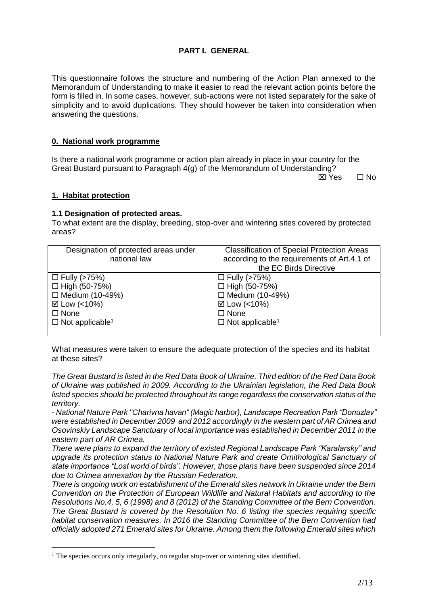## **PART I. GENERAL**

This questionnaire follows the structure and numbering of the Action Plan annexed to the Memorandum of Understanding to make it easier to read the relevant action points before the form is filled in. In some cases, however, sub-actions were not listed separately for the sake of simplicity and to avoid duplications. They should however be taken into consideration when answering the questions.

### **0. National work programme**

Is there a national work programme or action plan already in place in your country for the Great Bustard pursuant to Paragraph 4(g) of the Memorandum of Understanding?

 $\boxtimes$  Yes  $\Box$  No

#### **1. Habitat protection**

<u>.</u>

#### **1.1 Designation of protected areas.**

To what extent are the display, breeding, stop-over and wintering sites covered by protected areas?

| the EC Birds Directive                                                               |
|--------------------------------------------------------------------------------------|
| $\Box$ High (50-75%)<br>$\Box$ Medium (10-49%)<br>$\Box$ Not applicable <sup>1</sup> |
|                                                                                      |

<span id="page-1-0"></span>What measures were taken to ensure the adequate protection of the species and its habitat at these sites?

*The Great Bustard is listed in the Red Data Book of Ukraine. Third edition of the Red Data Book of Ukraine was published in 2009. According to the Ukrainian legislation, the Red Data Book listed species should be protected throughout its range regardless the conservation status of the territory.*

*- National Nature Park "Charivna havan" (Magic harbor), Landscape Recreation Park "Donuzlav" were established in December 2009 and 2012 accordingly in the western part of AR Crimea and Osovinskiy Landscape Sanctuary of local importance was established in December 2011 in the eastern part of AR Crimea.* 

*There were plans to expand the territory of existed Regional Landscape Park "Karalarsky" and upgrade its protection status to National Nature Park and create Ornithological Sanctuary of state importance "Lost world of birds". However, those plans have been suspended since 2014 due to Crimea annexation by the Russian Federation.*

*There is ongoing work on establishment of the Emerald sites network in Ukraine under the Bern Convention on the Protection of European Wildlife and Natural Habitats and according to the Resolutions No.4, 5, 6 (1998) and 8 (2012) of the Standing Committee of the Bern Convention. The Great Bustard is covered by the Resolution No. 6 listing the species requiring specific habitat conservation measures. In 2016 the Standing Committee of the Bern Convention had officially adopted 271 Emerald sites for Ukraine. Among them the following Emerald sites which* 

<sup>&</sup>lt;sup>1</sup> The species occurs only irregularly, no regular stop-over or wintering sites identified.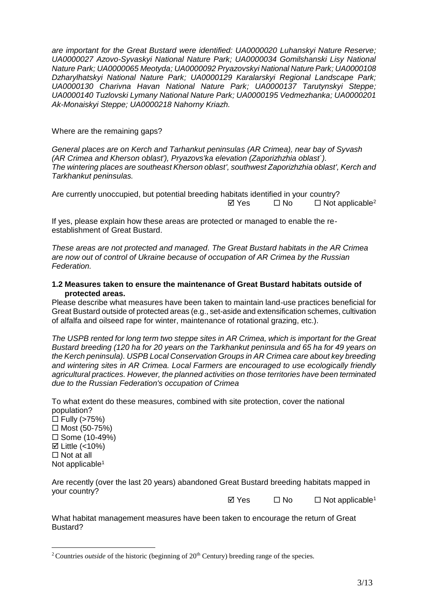*are important for the Great Bustard were identified: UA0000020 Luhanskyi Nature Reserve; UA0000027 Azovo-Syvaskyi National Nature Park; UA0000034 Gomilshanski Lisy National Nature Park; UA0000065 Meotyda; UA0000092 Pryazovskyi National Nature Park; UA0000108 Dzharylhatskyi National Nature Park; UA0000129 Karalarskyi Regional Landscape Park; UA0000130 Charivna Havan National Nature Park; UA0000137 Tarutynskyi Steppe; UA0000140 Tuzlovski Lymany National Nature Park; UA0000195 Vedmezhanka; UA0000201 Ak-Monaiskyi Steppe; UA0000218 Nahorny Kriazh.*

Where are the remaining gaps?

*General places are on Kerch and Tarhankut peninsulas (AR Crimea), near bay of Syvash (AR Crimea and Kherson oblast'), Pryazovs'ka elevation (Zaporizhzhia oblast`). The wintering places are southeast Kherson oblast', southwest Zaporizhzhia oblast', Kerch and Tarkhankut peninsulas.* 

Are currently unoccupied, but potential breeding habitats identified in your country?  $\boxtimes$  Yes  $\Box$  No  $\Box$  Not applicable<sup>2</sup>

If yes, please explain how these areas are protected or managed to enable the reestablishment of Great Bustard.

*These areas are not protected and managed. The Great Bustard habitats in the AR Crimea are now out of control of Ukraine because of occupation of AR Crimea by the Russian Federation.*

### **1.2 Measures taken to ensure the maintenance of Great Bustard habitats outside of protected areas.**

Please describe what measures have been taken to maintain land-use practices beneficial for Great Bustard outside of protected areas (e.g., set-aside and extensification schemes, cultivation of alfalfa and oilseed rape for winter, maintenance of rotational grazing, etc.).

*The USPB rented for long term two steppe sites in AR Crimea, which is important for the Great Bustard breeding (120 ha for 20 years on the Tarkhankut peninsula and 65 ha for 49 years on the Kerch peninsula). USPB Local Conservation Groups in AR Crimea care about key breeding and wintering sites in AR Crimea. Local Farmers are encouraged to use ecologically friendly agricultural practices. However, the planned activities on those territories have been terminated due to the Russian Federation's occupation of Crimea*

To what extent do these measures, combined with site protection, cover the national population?

 $\Box$  Fully (>75%)  $\Box$  Most (50-75%)  $\square$  Some (10-49%)  $\boxtimes$  Little (<10%)  $\Box$  Not at all Not applicable<sup>[1](#page-1-0)</sup>

<u>.</u>

Are recently (over the last 20 years) abandoned Great Bustard breeding habitats mapped in your country?

 $\Box$  Yes  $\Box$  No  $\Box$  Not applicable<sup>[1](#page-1-0)</sup>

What habitat management measures have been taken to encourage the return of Great Bustard?

<sup>&</sup>lt;sup>2</sup> Countries *outside* of the historic (beginning of 20<sup>th</sup> Century) breeding range of the species.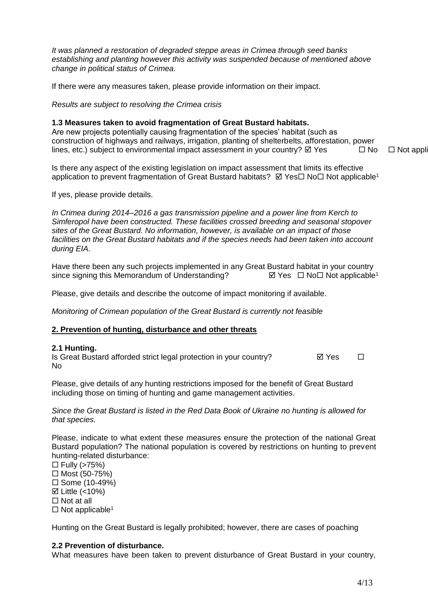*It was planned a restoration of degraded steppe areas in Crimea through seed banks establishing and planting however this activity was suspended because of mentioned above change in political status of Crimea.*

If there were any measures taken, please provide information on their impact.

*Results are subject to resolving the Crimea crisis*

### **1.3 Measures taken to avoid fragmentation of Great Bustard habitats.**

Are new projects potentially causing fragmentation of the species' habitat (such as construction of highways and railways, irrigation, planting of shelterbelts, afforestation, power lines, etc.) subject to environmental impact assessment in your country?  $\boxtimes$  Yes  $\Box$  No  $\Box$  Not appl

Is there any aspect of the existing legislation on impact assessment that limits its effective application to prevent fragmentation of Great Bustard habitats? Ø Yes□ No□ Not applicable<sup>[1](#page-1-0)</sup>

If yes, please provide details.

*In Crimea during 2014–2016 a gas transmission pipeline and a power line from Kerch to Simferopol have been constructed. These facilities crossed breeding and seasonal stopover sites of the Great Bustard. No information, however, is available on an impact of those facilities on the Great Bustard habitats and if the species needs had been taken into account during EIA.*

Have there been any such projects implemented in any Great Bustard habitat in your country sinc[e](#page-1-0) signing this Memorandum of Understanding?  $\Box$  Yes  $\Box$  No  $\Box$  Not applicable<sup>1</sup>

Please, give details and describe the outcome of impact monitoring if available.

*Monitoring of Crimean population of the Great Bustard is currently not feasible*

#### **2. Prevention of hunting, disturbance and other threats**

#### **2.1 Hunting.**

Is Great Bustard afforded strict legal protection in your country?  $\Box$  Yes  $\Box$ No

Please, give details of any hunting restrictions imposed for the benefit of Great Bustard including those on timing of hunting and game management activities.

*Since the Great Bustard is listed in the Red Data Book of Ukraine no hunting is allowed for that species.*

Please, indicate to what extent these measures ensure the protection of the national Great Bustard population? The national population is covered by restrictions on hunting to prevent hunting-related disturbance:

 $\Box$  Fully (>75%)  $\Box$  Most (50-75%)  $\square$  Some (10-49%)

 $\boxtimes$  Little (<10%)

 $\Box$  Not at all

 $\Box$  Not applicable<sup>[1](#page-1-0)</sup>

Hunting on the Great Bustard is legally prohibited; however, there are cases of poaching

#### **2.2 Prevention of disturbance.**

What measures have been taken to prevent disturbance of Great Bustard in your country,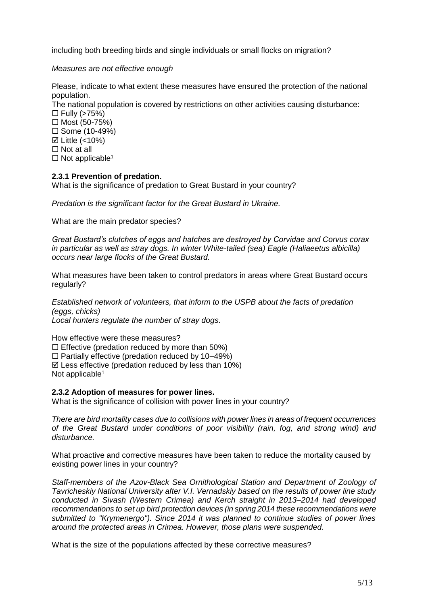including both breeding birds and single individuals or small flocks on migration?

## *Measures are not effective enough*

Please, indicate to what extent these measures have ensured the protection of the national population.

The national population is covered by restrictions on other activities causing disturbance:  $\Box$  Fully (>75%)

 $\Box$  Most (50-75%)  $\square$  Some (10-49%)

 $\boxtimes$  Little (<10%)

□ Not at all

 $\Box$  Not applicable<sup>[1](#page-1-0)</sup>

### **2.3.1 Prevention of predation.**

What is the significance of predation to Great Bustard in your country?

*Predation is the significant factor for the Great Bustard in Ukraine.*

What are the main predator species?

*Great Bustard's clutches of eggs and hatches are destroyed by Corvidae and Corvus corax in particular as well as stray dogs. In winter White-tailed (sea) Eagle (Haliaeetus albicilla) occurs near large flocks of the Great Bustard.*

What measures have been taken to control predators in areas where Great Bustard occurs regularly?

*Established network of volunteers, that inform to the USPB about the facts of predation (eggs, chicks) Local hunters regulate the number of stray dogs.*

How effective were these measures?  $\square$  Effective (predation reduced by more than 50%)  $\square$  Partially effective (predation reduced by 10–49%)  $\boxtimes$  Less effective (predation reduced by less than 10%) Not applicable<sup>[1](#page-1-0)</sup>

## **2.3.2 Adoption of measures for power lines.**

What is the significance of collision with power lines in your country?

*There are bird mortality cases due to collisions with power lines in areas of frequent occurrences of the Great Bustard under conditions of poor visibility (rain, fog, and strong wind) and disturbance.* 

What proactive and corrective measures have been taken to reduce the mortality caused by existing power lines in your country?

*Staff-members of the Azov-Black Sea Ornithological Station and Department of Zoology of Tavricheskiy National University after V.I. Vernadskiy based on the results of power line study conducted in Sivash (Western Crimea) and Kerch straight in 2013–2014 had developed recommendations to set up bird protection devices (in spring 2014 these recommendations were submitted to "Krymenergo"). Since 2014 it was planned to continue studies of power lines around the protected areas in Crimea. However, those plans were suspended.*

What is the size of the populations affected by these corrective measures?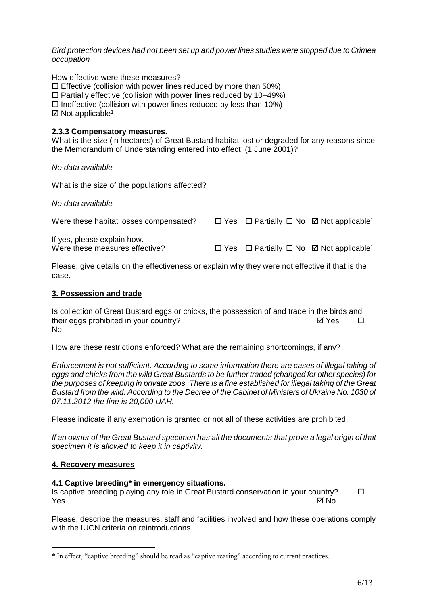*Bird protection devices had not been set up and power lines studies were stopped due to Crimea occupation*

How effective were these measures?

 $\Box$  Effective (collision with power lines reduced by more than 50%)

 $\Box$  Partially effective (collision with power lines reduced by 10–49%)

 $\Box$  Ineffective (collision with power lines reduced by less than 10%)

 $\boxtimes$  Not applicable<sup>[1](#page-1-0)</sup>

### **2.3.3 Compensatory measures.**

What is the size (in hectares) of Great Bustard habitat lost or degraded for any reasons since the Memorandum of Understanding entered into effect (1 June 2001)?

*No data available*

What is the size of the populations affected?

*No data available*

| Were these habitat losses compensated?                        |                                                                          | $\Box$ Yes $\Box$ Partially $\Box$ No $\Box$ Not applicable <sup>1</sup> |
|---------------------------------------------------------------|--------------------------------------------------------------------------|--------------------------------------------------------------------------|
| If yes, please explain how.<br>Were these measures effective? | $\Box$ Yes $\Box$ Partially $\Box$ No $\Box$ Not applicable <sup>1</sup> |                                                                          |

Please, give details on the effectiveness or explain why they were not effective if that is the case.

#### **3. Possession and trade**

Is collection of Great Bustard eggs or chicks, the possession of and trade in the birds and their eggs prohibited in your country?  $\Box$  Yes  $\Box$ No

How are these restrictions enforced? What are the remaining shortcomings, if any?

*Enforcement is not sufficient. According to some information there are cases of illegal taking of eggs and chicks from the wild Great Bustards to be further traded (changed for other species) for the purposes of keeping in private zoos. There is a fine established for illegal taking of the Great Bustard from the wild. According to the Decree of the Cabinet of Ministers of Ukraine No. 1030 of 07.11.2012 the fine is 20,000 UAH.*

Please indicate if any exemption is granted or not all of these activities are prohibited.

*If an owner of the Great Bustard specimen has all the documents that prove a legal origin of that specimen it is allowed to keep it in captivity.*

#### **4. Recovery measures**

<u>.</u>

#### **4.1 Captive breeding\* in emergency situations.**

Is captive breeding playing any role in Great Bustard conservation in your country?  $Y$ es  $\boxtimes$  No

Please, describe the measures, staff and facilities involved and how these operations comply with the IUCN criteria on reintroductions.

<sup>\*</sup> In effect, "captive breeding" should be read as "captive rearing" according to current practices.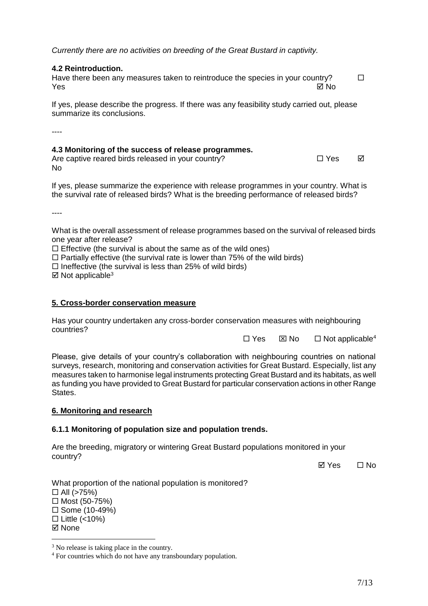*Currently there are no activities on breeding of the Great Bustard in captivity.*

## **4.2 Reintroduction.**

Have there been any measures taken to reintroduce the species in your country?  $\Box$ Yes No

If yes, please describe the progress. If there was any feasibility study carried out, please summarize its conclusions.

----

## **4.3 Monitoring of the success of release programmes.**

Are captive reared birds released in your country?  $\square$  Yes  $\square$ No

If yes, please summarize the experience with release programmes in your country. What is the survival rate of released birds? What is the breeding performance of released birds?

----

What is the overall assessment of release programmes based on the survival of released birds one year after release?

 $\Box$  Effective (the survival is about the same as of the wild ones)

 $\Box$  Partially effective (the survival rate is lower than 75% of the wild birds)

 $\Box$  Ineffective (the survival is less than 25% of wild birds)

 $\boxtimes$  Not applicable<sup>3</sup>

### **5. Cross-border conservation measure**

Has your country undertaken any cross-border conservation measures with neighbouring countries?

 $\Box$  Yes  $\boxtimes$  No  $\Box$  Not applicable<sup>4</sup>

Please, give details of your country's collaboration with neighbouring countries on national surveys, research, monitoring and conservation activities for Great Bustard. Especially, list any measures taken to harmonise legal instruments protecting Great Bustard and its habitats, as well as funding you have provided to Great Bustard for particular conservation actions in other Range States.

## **6. Monitoring and research**

## **6.1.1 Monitoring of population size and population trends.**

Are the breeding, migratory or wintering Great Bustard populations monitored in your country?

**ØYes** □ No

What proportion of the national population is monitored?  $\Box$  All (>75%)  $\Box$  Most (50-75%)  $\square$  Some (10-49%)  $\Box$  Little (<10%) ⊠ None

<u>.</u>

<sup>&</sup>lt;sup>3</sup> No release is taking place in the country.

<sup>4</sup> For countries which do not have any transboundary population.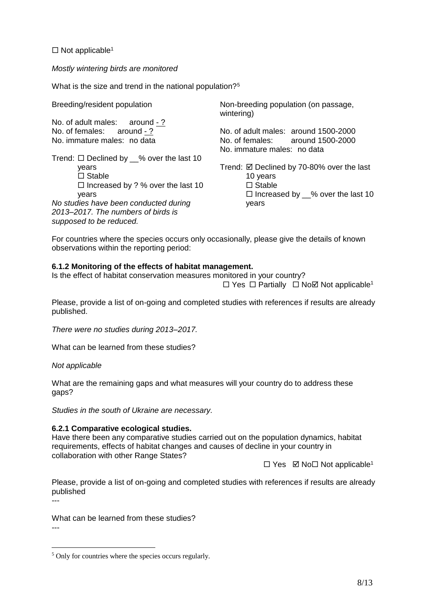$\Box$  Not applicable<sup>[1](#page-1-0)</sup>

*Mostly wintering birds are monitored* 

What is the size and trend in the national population?<sup>5</sup>

Breeding/resident population

*supposed to be reduced.*

No. of adult males: around - ? No. of females: around - ? No. immature males: no data

Trend:  $\Box$  Declined by  $\_\%$  over the last 10 years □ Stable  $\Box$  Increased by ? % over the last 10 years *No studies have been conducted during 2013–2017. The numbers of birds is* 

Non-breeding population (on passage, wintering)

No. of adult males: around 1500-2000 No. of females: around 1500-2000 No. immature males: no data

Trend:  $\boxtimes$  Declined by 70-80% over the last 10 years  $\square$  Stable  $\Box$  Increased by  $\_\%$  over the last 10 years

For countries where the species occurs only occasionally, please give the details of known observations within the reporting period:

### **6.1.2 Monitoring of the effects of habitat management.**

Is the effect of habitat conservation measures monitored in your country?

 $\Box$  Y[e](#page-1-0)s  $\Box$  Partially  $\Box$  No  $\Box$  Not applicable<sup>1</sup>

Please, provide a list of on-going and completed studies with references if results are already published.

*There were no studies during 2013–2017.*

What can be learned from these studies?

*Not applicable*

<u>.</u>

What are the remaining gaps and what measures will your country do to address these gaps?

*Studies in the south of Ukraine are necessary.*

## **6.2.1 Comparative ecological studies.**

Have there been any comparative studies carried out on the population dynamics, habitat requirements, effects of habitat changes and causes of decline in your country in collaboration with other Range States?

 $\Box$  Y[e](#page-1-0)s  $\boxtimes$  No  $\Box$  Not applicable<sup>1</sup>

Please, provide a list of on-going and completed studies with references if results are already published ---

What can be learned from these studies? ---

<sup>5</sup> Only for countries where the species occurs regularly.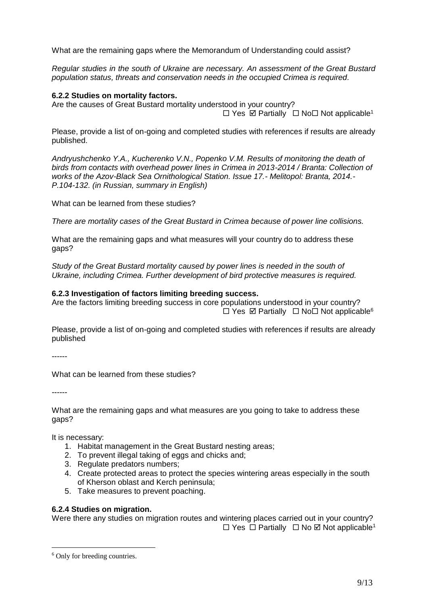What are the remaining gaps where the Memorandum of Understanding could assist?

*Regular studies in the south of Ukraine are necessary. An assessment of the Great Bustard population status, threats and conservation needs in the occupied Crimea is required.*

## **6.2.2 Studies on mortality factors.**

Are the causes of Great Bustard mortality understood in your country?  $\Box$  Y[e](#page-1-0)s  $\boxtimes$  Partially  $\Box$  No  $\Box$  Not applicable<sup>1</sup>

Please, provide a list of on-going and completed studies with references if results are already published.

*Andryushchenko Y.A., Kucherenko V.N., Popenko V.M. Results of monitoring the death of birds from contacts with overhead power lines in Crimea in 2013-2014 / Branta: Collection of works of the Azov-Black Sea Ornithological Station. Issue 17.- Melitopol: Branta, 2014.- P.104-132. (in Russian, summary in English)*

What can be learned from these studies?

*There are mortality cases of the Great Bustard in Crimea because of power line collisions.*

What are the remaining gaps and what measures will your country do to address these gaps?

*Study of the Great Bustard mortality caused by power lines is needed in the south of Ukraine, including Crimea. Further development of bird protective measures is required.*

## **6.2.3 Investigation of factors limiting breeding success.**

Are the factors limiting breeding success in core populations understood in your country?  $\Box$  Yes  $\boxtimes$  Partially  $\Box$  No  $\Box$  Not applicable<sup>6</sup>

Please, provide a list of on-going and completed studies with references if results are already published

------

What can be learned from these studies?

------

<u>.</u>

What are the remaining gaps and what measures are you going to take to address these gaps?

It is necessary:

- 1. Habitat management in the Great Bustard nesting areas;
- 2. To prevent illegal taking of eggs and chicks and;
- 3. Regulate predators numbers;
- 4. Create protected areas to protect the species wintering areas especially in the south of Kherson oblast and Kerch peninsula;
- 5. Take measures to prevent poaching.

## **6.2.4 Studies on migration.**

Were there any studies on migration routes and wintering places carried out in your country?  $\Box$  Y[e](#page-1-0)s  $\Box$  Partially  $\Box$  No  $\Box$  Not applicable<sup>1</sup>

<sup>6</sup> Only for breeding countries.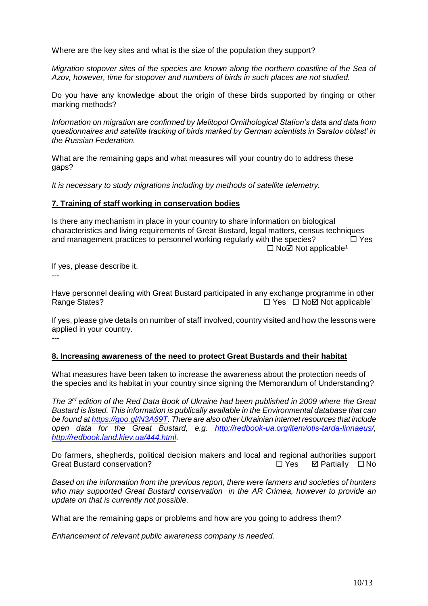Where are the key sites and what is the size of the population they support?

*Migration stopover sites of the species are known along the northern coastline of the Sea of Azov, however, time for stopover and numbers of birds in such places are not studied.*

Do you have any knowledge about the origin of these birds supported by ringing or other marking methods?

*Information on migration are confirmed by Melitopol Ornithological Station's data and data from questionnaires and satellite tracking of birds marked by German scientists in Saratov oblast' in the Russian Federation.*

What are the remaining gaps and what measures will your country do to address these gaps?

*It is necessary to study migrations including by methods of satellite telemetry.*

### **7. Training of staff working in conservation bodies**

Is there any mechanism in place in your country to share information on biological characteristics and living requirements of Great Bustard, legal matters, census techniques and management practices to personnel working regularly with the species?  $\square$  Yes  $\Box$  No $\boxtimes$  Not applicable<sup>[1](#page-1-0)</sup>

If yes, please describe it. ---

Have personnel dealing with Great Bustard participated in any exchange programme in other Rang[e](#page-1-0) States? 
■ NoΩ Not applicable<sup>1</sup>

If yes, please give details on number of staff involved, country visited and how the lessons were applied in your country. ---

#### **8. Increasing awareness of the need to protect Great Bustards and their habitat**

What measures have been taken to increase the awareness about the protection needs of the species and its habitat in your country since signing the Memorandum of Understanding?

*The 3rd edition of the Red Data Book of Ukraine had been published in 2009 where the Great Bustard is listed. This information is publically available in the Environmental database that can be found a[t https://goo.gl/N3A69T.](https://goo.gl/N3A69T) There are also other Ukrainian internet resources that include open data for the Great Bustard, e.g. [http://redbook-ua.org/item/otis-tarda-linnaeus/,](http://redbook-ua.org/item/otis-tarda-linnaeus/) [http://redbook.land.kiev.ua/444.html.](http://redbook.land.kiev.ua/444.html)* 

Do farmers, shepherds, political decision makers and local and regional authorities support Great Bustard conservation? 
<br>  $\Box$  Yes  $\Box$  Partially  $\Box$  No

*Based on the information from the previous report, there were farmers and societies of hunters who may supported Great Bustard conservation in the AR Crimea, however to provide an update on that is currently not possible.*

What are the remaining gaps or problems and how are you going to address them?

*Enhancement of relevant public awareness company is needed.*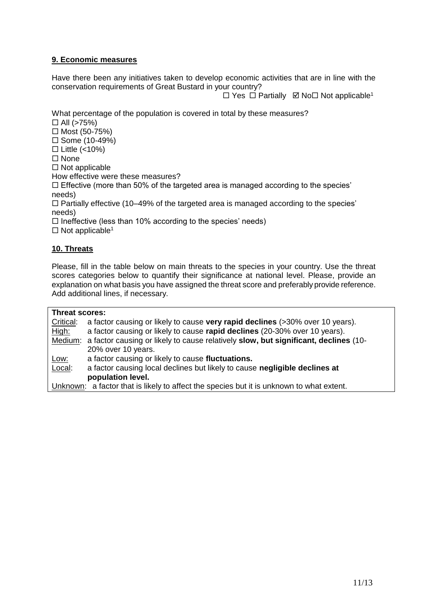## **9. Economic measures**

Have there been any initiatives taken to develop economic activities that are in line with the conservation requirements of Great Bustard in your country?

 $\Box$  Y[e](#page-1-0)s  $\Box$  Partially  $\boxtimes$  No $\Box$  Not applicable<sup>1</sup>

What percentage of the population is covered in total by these measures?

 $\Box$  All (>75%)

 $\Box$  Most (50-75%)

 $\square$  Some (10-49%)

 $\Box$  Little (<10%)

 $\square$  None

 $\Box$  Not applicable

How effective were these measures?

 $\Box$  Effective (more than 50% of the targeted area is managed according to the species' needs)

 $\Box$  Partially effective (10–49% of the targeted area is managed according to the species' needs)

 $\Box$  Ineffective (less than 10% according to the species' needs)

 $\Box$  Not applicable<sup>[1](#page-1-0)</sup>

## **10. Threats**

Please, fill in the table below on main threats to the species in your country. Use the threat scores categories below to quantify their significance at national level. Please, provide an explanation on what basis you have assigned the threat score and preferably provide reference. Add additional lines, if necessary.

| Threat scores:                                                                           |                                                                                             |  |  |  |
|------------------------------------------------------------------------------------------|---------------------------------------------------------------------------------------------|--|--|--|
| Critical:                                                                                | a factor causing or likely to cause very rapid declines (>30% over 10 years).               |  |  |  |
| High:                                                                                    | a factor causing or likely to cause rapid declines (20-30% over 10 years).                  |  |  |  |
|                                                                                          | Medium: a factor causing or likely to cause relatively slow, but significant, declines (10- |  |  |  |
|                                                                                          | 20% over 10 years.                                                                          |  |  |  |
| <u>Low:</u>                                                                              | a factor causing or likely to cause fluctuations.                                           |  |  |  |
| Local:                                                                                   | a factor causing local declines but likely to cause negligible declines at                  |  |  |  |
|                                                                                          | population level.                                                                           |  |  |  |
| Unknown: a factor that is likely to affect the species but it is unknown to what extent. |                                                                                             |  |  |  |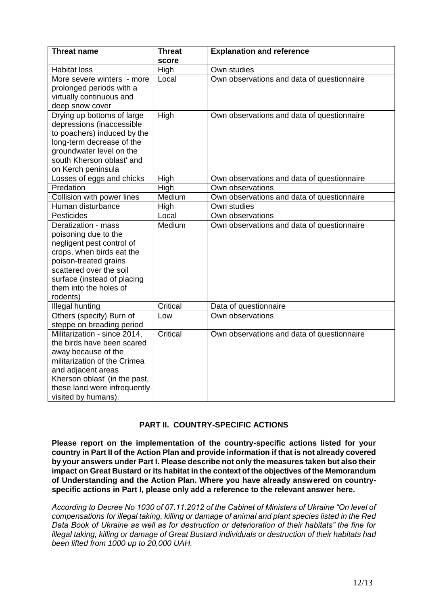| <b>Threat name</b>            | <b>Threat</b> | <b>Explanation and reference</b>           |
|-------------------------------|---------------|--------------------------------------------|
|                               | score         |                                            |
| <b>Habitat loss</b>           | High          | Own studies                                |
| More severe winters - more    | Local         | Own observations and data of questionnaire |
| prolonged periods with a      |               |                                            |
| virtually continuous and      |               |                                            |
| deep snow cover               |               |                                            |
| Drying up bottoms of large    | <b>High</b>   | Own observations and data of questionnaire |
| depressions (inaccessible     |               |                                            |
| to poachers) induced by the   |               |                                            |
| long-term decrease of the     |               |                                            |
| groundwater level on the      |               |                                            |
| south Kherson oblast' and     |               |                                            |
| on Kerch peninsula            |               |                                            |
| Losses of eggs and chicks     | High          | Own observations and data of questionnaire |
| Predation                     | High          | Own observations                           |
| Collision with power lines    | Medium        | Own observations and data of questionnaire |
| Human disturbance             | High          | Own studies                                |
| Pesticides                    | Local         | Own observations                           |
| Deratization - mass           | Medium        | Own observations and data of questionnaire |
| poisoning due to the          |               |                                            |
| negligent pest control of     |               |                                            |
| crops, when birds eat the     |               |                                            |
| poison-treated grains         |               |                                            |
| scattered over the soil       |               |                                            |
| surface (instead of placing   |               |                                            |
| them into the holes of        |               |                                            |
| rodents)                      |               |                                            |
| Illegal hunting               | Critical      | Data of questionnaire                      |
| Others (specify) Burn of      | Low           | Own observations                           |
| steppe on breading period     |               |                                            |
| Militarization - since 2014,  | Critical      | Own observations and data of questionnaire |
| the birds have been scared    |               |                                            |
| away because of the           |               |                                            |
| militarization of the Crimea  |               |                                            |
| and adjacent areas            |               |                                            |
| Kherson oblast' (in the past, |               |                                            |
| these land were infrequently  |               |                                            |
| visited by humans).           |               |                                            |

# **PART II. COUNTRY-SPECIFIC ACTIONS**

**Please report on the implementation of the country-specific actions listed for your country in Part II of the Action Plan and provide information if that is not already covered by your answers under Part I. Please describe not only the measures taken but also their impact on Great Bustard or its habitat in the context of the objectives of the Memorandum of Understanding and the Action Plan. Where you have already answered on countryspecific actions in Part I, please only add a reference to the relevant answer here.**

*According to Decree No 1030 of 07.11.2012 of the Cabinet of Ministers of Ukraine "On level of compensations for illegal taking, killing or damage of animal and plant species listed in the Red Data Book of Ukraine as well as for destruction or deterioration of their habitats" the fine for illegal taking, killing or damage of Great Bustard individuals or destruction of their habitats had been lifted from 1000 up to 20,000 UAH.*